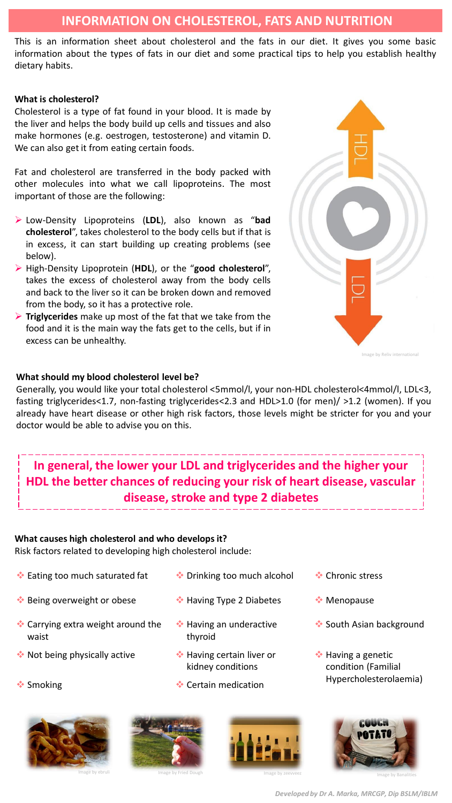# **INFORMATION ON CHOLESTEROL, FATS AND NUTRITION**

This is an information sheet about cholesterol and the fats in our diet. It gives you some basic information about the types of fats in our diet and some practical tips to help you establish healthy dietary habits.

### **What is cholesterol?**

Cholesterol is a type of fat found in your blood. It is made by the liver and helps the body build up cells and tissues and also make hormones (e.g. oestrogen, testosterone) and vitamin D. We can also get it from eating certain foods.

Fat and cholesterol are transferred in the body packed with other molecules into what we call lipoproteins. The most important of those are the following:

- ➢ Low-Density Lipoproteins (**LDL**), also known as "**bad cholesterol**", takes cholesterol to the body cells but if that is in excess, it can start building up creating problems (see below).
- ➢ High-Density Lipoprotein (**HDL**), or the "**good cholesterol**", takes the excess of cholesterol away from the body cells and back to the liver so it can be broken down and removed from the body, so it has a protective role.
- ➢ **Triglycerides** make up most of the fat that we take from the food and it is the main way the fats get to the cells, but if in excess can be unhealthy.

### **What should my blood cholesterol level be?**

Generally, you would like your total cholesterol <5mmol/l, your non-HDL cholesterol<4mmol/l, LDL<3, fasting triglycerides<1.7, non-fasting triglycerides<2.3 and HDL>1.0 (for men)/ >1.2 (women). If you already have heart disease or other high risk factors, those levels might be stricter for you and your doctor would be able to advise you on this.

# **In general, the lower your LDL and triglycerides and the higher your HDL the better chances of reducing your risk of heart disease, vascular disease, stroke and type 2 diabetes**

#### **What causes high cholesterol and who develops it?**

Risk factors related to developing high cholesterol include:

- ❖ Eating too much saturated fat ❖ Drinking too much alcohol ❖ Chronic stress
- ❖ Being overweight or obese ❖ Having Type 2 Diabetes ❖ Menopause
- ❖ Carrying extra weight around the waist
- ❖ Not being physically active ❖ Having certain liver or
- 



- 
- **❖ Having an underactive** thyroid
- kidney conditions
- 
- 
- 
- ❖ South Asian background
- ❖ Having a genetic condition (Familial Hypercholesterolaemia) ❖ Smoking ❖ Certain medication









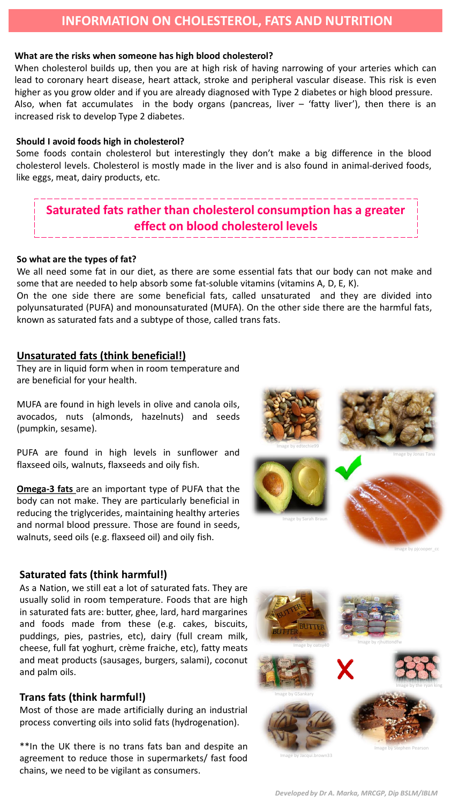# **INFORMATION ON CHOLESTEROL, FATS AND NUTRITION**

### **What are the risks when someone has high blood cholesterol?**

When cholesterol builds up, then you are at high risk of having narrowing of your arteries which can lead to coronary heart disease, heart attack, stroke and peripheral vascular disease. This risk is even higher as you grow older and if you are already diagnosed with Type 2 diabetes or high blood pressure. Also, when fat accumulates in the body organs (pancreas, liver  $-$  'fatty liver'), then there is an increased risk to develop Type 2 diabetes.

### **Should I avoid foods high in cholesterol?**

Some foods contain cholesterol but interestingly they don't make a big difference in the blood cholesterol levels. Cholesterol is mostly made in the liver and is also found in animal-derived foods, like eggs, meat, dairy products, etc.

# **Saturated fats rather than cholesterol consumption has a greater effect on blood cholesterol levels**

#### **So what are the types of fat?**

We all need some fat in our diet, as there are some essential fats that our body can not make and some that are needed to help absorb some fat-soluble vitamins (vitamins A, D, E, K).

On the one side there are some beneficial fats, called unsaturated and they are divided into polyunsaturated (PUFA) and monounsaturated (MUFA). On the other side there are the harmful fats, known as saturated fats and a subtype of those, called trans fats.

## **Unsaturated fats (think beneficial!)**

They are in liquid form when in room temperature and are beneficial for your health.

MUFA are found in high levels in olive and canola oils, avocados, nuts (almonds, hazelnuts) and seeds (pumpkin, sesame).

PUFA are found in high levels in sunflower and flaxseed oils, walnuts, flaxseeds and oily fish.

**Omega-3 fats** are an important type of PUFA that the body can not make. They are particularly beneficial in reducing the triglycerides, maintaining healthy arteries and normal blood pressure. Those are found in seeds, walnuts, seed oils (e.g. flaxseed oil) and oily fish.



Image by pjcooper\_cc

#### **Saturated fats (think harmful!)**

As a Nation, we still eat a lot of saturated fats. They are usually solid in room temperature. Foods that are high in saturated fats are: butter, ghee, lard, hard margarines and foods made from these (e.g. cakes, biscuits, puddings, pies, pastries, etc), dairy (full cream milk, cheese, full fat yoghurt, crème fraiche, etc), fatty meats and meat products (sausages, burgers, salami), coconut and palm oils.

### **Trans fats (think harmful!)**

Most of those are made artificially during an industrial process converting oils into solid fats (hydrogenation).

\*\*In the UK there is no trans fats ban and despite an agreement to reduce those in supermarkets/ fast food chains, we need to be vigilant as consumers.